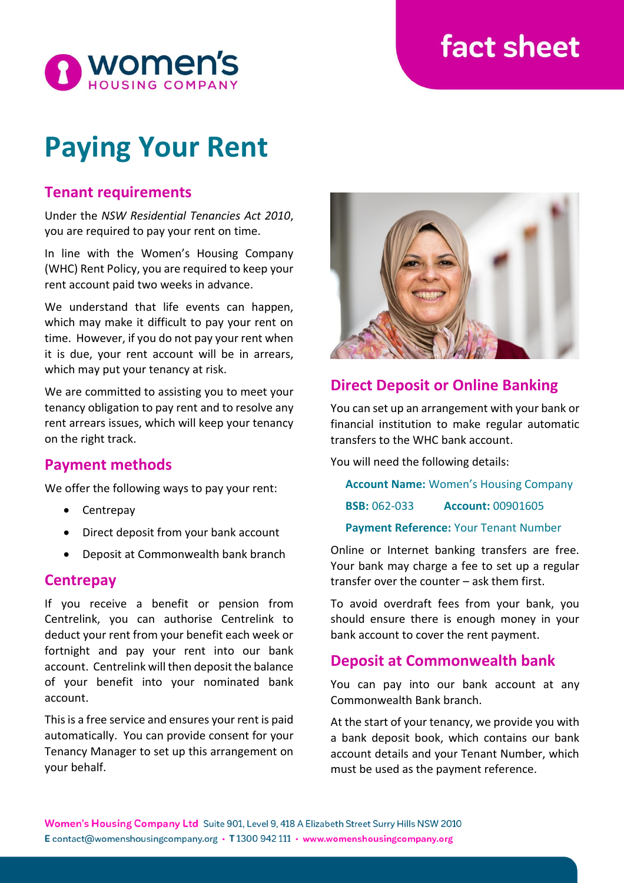# fact sheet



# **Paying Your Rent**

## **Tenant requirements**

Under the *NSW Residential Tenancies Act 2010*, you are required to pay your rent on time.

In line with the Women's Housing Company (WHC) Rent Policy, you are required to keep your rent account paid two weeks in advance.

We understand that life events can happen, which may make it difficult to pay your rent on time. However, if you do not pay your rent when it is due, your rent account will be in arrears, which may put your tenancy at risk.

We are committed to assisting you to meet your tenancy obligation to pay rent and to resolve any rent arrears issues, which will keep your tenancy on the right track.

## **Payment methods**

We offer the following ways to pay your rent:

- Centrepay
- Direct deposit from your bank account
- Deposit at Commonwealth bank branch

#### **Centrepay**

If you receive a benefit or pension from Centrelink, you can authorise Centrelink to deduct your rent from your benefit each week or fortnight and pay your rent into our bank account. Centrelink will then deposit the balance of your benefit into your nominated bank account.

This is a free service and ensures your rent is paid automatically. You can provide consent for your Tenancy Manager to set up this arrangement on your behalf.



## **Direct Deposit or Online Banking**

You can set up an arrangement with your bank or financial institution to make regular automatic transfers to the WHC bank account.

You will need the following details:

**Account Name:** Women's Housing Company **BSB:** 062-033 **Account:** 00901605 **Payment Reference:** Your Tenant Number

Online or Internet banking transfers are free. Your bank may charge a fee to set up a regular transfer over the counter – ask them first.

To avoid overdraft fees from your bank, you should ensure there is enough money in your bank account to cover the rent payment.

### **Deposit at Commonwealth bank**

You can pay into our bank account at any Commonwealth Bank branch.

At the start of your tenancy, we provide you with a bank deposit book, which contains our bank account details and your Tenant Number, which must be used as the payment reference.